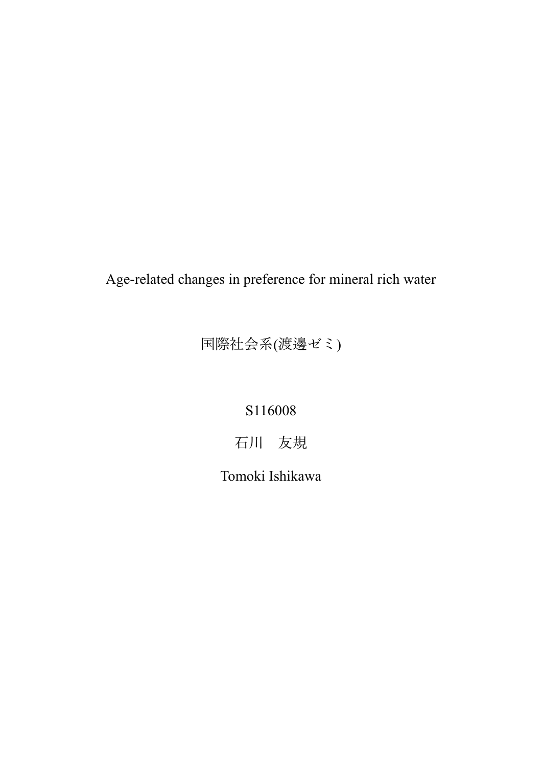Age-related changes in preference for mineral rich water

国際社会系(渡邊ゼミ)

S116008

石川 友規

Tomoki Ishikawa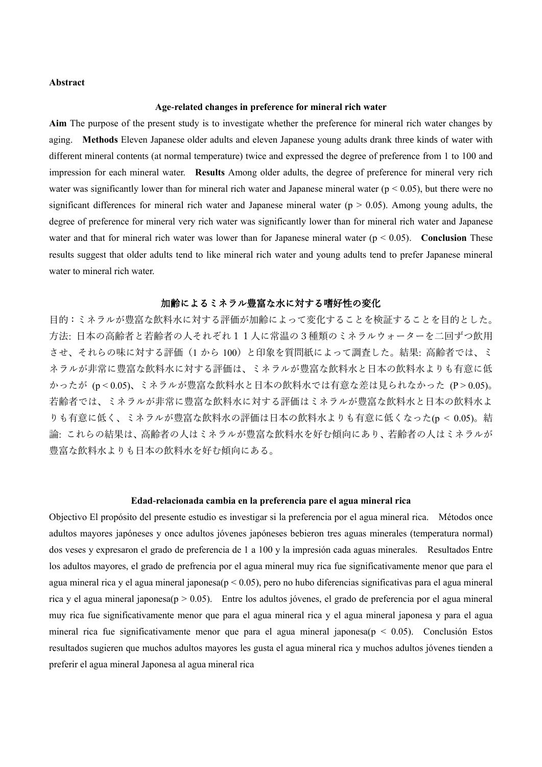# **Abstract**

#### **Age-related changes in preference for mineral rich water**

**Aim** The purpose of the present study is to investigate whether the preference for mineral rich water changes by aging. **Methods** Eleven Japanese older adults and eleven Japanese young adults drank three kinds of water with different mineral contents (at normal temperature) twice and expressed the degree of preference from 1 to 100 and impression for each mineral water. **Results** Among older adults, the degree of preference for mineral very rich water was significantly lower than for mineral rich water and Japanese mineral water ( $p < 0.05$ ), but there were no significant differences for mineral rich water and Japanese mineral water ( $p > 0.05$ ). Among young adults, the degree of preference for mineral very rich water was significantly lower than for mineral rich water and Japanese water and that for mineral rich water was lower than for Japanese mineral water (p < 0.05). **Conclusion** These results suggest that older adults tend to like mineral rich water and young adults tend to prefer Japanese mineral water to mineral rich water.

## 加齢によるミネラル豊富な水に対する嗜好性の変化

目的:ミネラルが豊富な飲料水に対する評価が加齢によって変化することを検証することを目的とした。 方法: 日本の高齢者と若齢者の人それぞれ11人に常温の3種類のミネラルウォーターを二回ずつ飲用 させ、それらの味に対する評価(1 から 100)と印象を質問紙によって調査した。結果: 高齢者では、ミ ネラルが非常に豊富な飲料水に対する評価は、ミネラルが豊富な飲料水と日本の飲料水よりも有意に低 かったが (p < 0.05)、ミネラルが豊富な飲料水と日本の飲料水では有意な差は見られなかった (P > 0.05)。 若齢者では、ミネラルが非常に豊富な飲料水に対する評価はミネラルが豊富な飲料水と日本の飲料水よ りも有意に低く、ミネラルが豊富な飲料水の評価は日本の飲料水よりも有意に低くなった(p < 0.05)。結 論: これらの結果は、高齢者の人はミネラルが豊富な飲料水を好む傾向にあり、若齢者の人はミネラルが 豊富な飲料水よりも日本の飲料水を好む傾向にある。

#### **Edad-relacionada cambia en la preferencia pare el agua mineral rica**

Objectivo El propósito del presente estudio es investigar si la preferencia por el agua mineral rica. Métodos once adultos mayores japóneses y once adultos jóvenes japóneses bebieron tres aguas minerales (temperatura normal) dos veses y expresaron el grado de preferencia de 1 a 100 y la impresión cada aguas minerales. Resultados Entre los adultos mayores, el grado de prefrencia por el agua mineral muy rica fue significativamente menor que para el agua mineral rica y el agua mineral japonesa( $p < 0.05$ ), pero no hubo diferencias significativas para el agua mineral rica y el agua mineral japonesa(p > 0.05). Entre los adultos jóvenes, el grado de preferencia por el agua mineral muy rica fue significativamente menor que para el agua mineral rica y el agua mineral japonesa y para el agua mineral rica fue significativamente menor que para el agua mineral japonesa(p < 0.05). Conclusión Estos resultados sugieren que muchos adultos mayores les gusta el agua mineral rica y muchos adultos jóvenes tienden a preferir el agua mineral Japonesa al agua mineral rica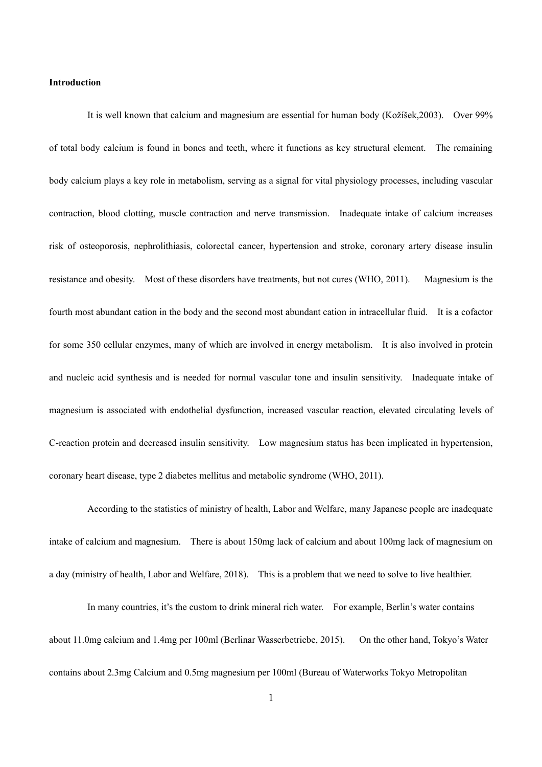### **Introduction**

It is well known that calcium and magnesium are essential for human body (Kožíšek,2003). Over 99% of total body calcium is found in bones and teeth, where it functions as key structural element. The remaining body calcium plays a key role in metabolism, serving as a signal for vital physiology processes, including vascular contraction, blood clotting, muscle contraction and nerve transmission. Inadequate intake of calcium increases risk of osteoporosis, nephrolithiasis, colorectal cancer, hypertension and stroke, coronary artery disease insulin resistance and obesity. Most of these disorders have treatments, but not cures (WHO, 2011). Magnesium is the fourth most abundant cation in the body and the second most abundant cation in intracellular fluid. It is a cofactor for some 350 cellular enzymes, many of which are involved in energy metabolism. It is also involved in protein and nucleic acid synthesis and is needed for normal vascular tone and insulin sensitivity. Inadequate intake of magnesium is associated with endothelial dysfunction, increased vascular reaction, elevated circulating levels of C-reaction protein and decreased insulin sensitivity. Low magnesium status has been implicated in hypertension, coronary heart disease, type 2 diabetes mellitus and metabolic syndrome (WHO, 2011).

According to the statistics of ministry of health, Labor and Welfare, many Japanese people are inadequate intake of calcium and magnesium. There is about 150mg lack of calcium and about 100mg lack of magnesium on a day (ministry of health, Labor and Welfare, 2018). This is a problem that we need to solve to live healthier.

In many countries, it's the custom to drink mineral rich water. For example, Berlin's water contains about 11.0mg calcium and 1.4mg per 100ml (Berlinar Wasserbetriebe, 2015). On the other hand, Tokyo's Water contains about 2.3mg Calcium and 0.5mg magnesium per 100ml (Bureau of Waterworks Tokyo Metropolitan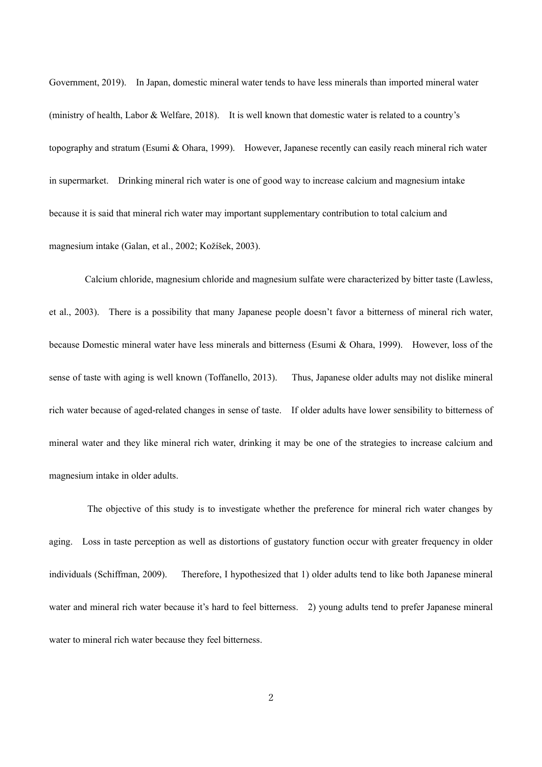Government, 2019). In Japan, domestic mineral water tends to have less minerals than imported mineral water (ministry of health, Labor & Welfare, 2018). It is well known that domestic water is related to a country's topography and stratum (Esumi & Ohara, 1999). However, Japanese recently can easily reach mineral rich water in supermarket. Drinking mineral rich water is one of good way to increase calcium and magnesium intake because it is said that mineral rich water may important supplementary contribution to total calcium and magnesium intake (Galan, et al., 2002; Kožíšek, 2003).

Calcium chloride, magnesium chloride and magnesium sulfate were characterized by bitter taste (Lawless, et al., 2003). There is a possibility that many Japanese people doesn't favor a bitterness of mineral rich water, because Domestic mineral water have less minerals and bitterness (Esumi & Ohara, 1999). However, loss of the sense of taste with aging is well known (Toffanello, 2013). Thus, Japanese older adults may not dislike mineral rich water because of aged-related changes in sense of taste. If older adults have lower sensibility to bitterness of mineral water and they like mineral rich water, drinking it may be one of the strategies to increase calcium and magnesium intake in older adults.

The objective of this study is to investigate whether the preference for mineral rich water changes by aging. Loss in taste perception as well as distortions of gustatory function occur with greater frequency in older individuals (Schiffman, 2009). Therefore, I hypothesized that 1) older adults tend to like both Japanese mineral water and mineral rich water because it's hard to feel bitterness. 2) young adults tend to prefer Japanese mineral water to mineral rich water because they feel bitterness.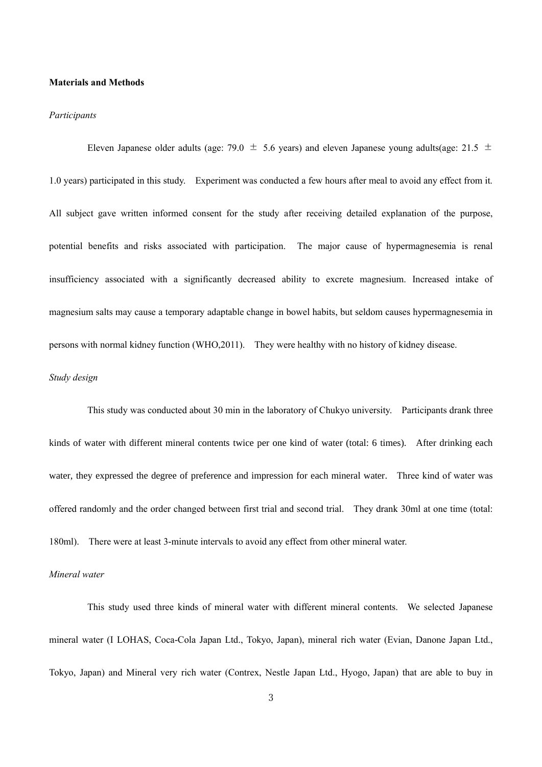# **Materials and Methods**

#### *Participants*

Eleven Japanese older adults (age: 79.0  $\pm$  5.6 years) and eleven Japanese young adults(age: 21.5  $\pm$ 1.0 years) participated in this study. Experiment was conducted a few hours after meal to avoid any effect from it. All subject gave written informed consent for the study after receiving detailed explanation of the purpose, potential benefits and risks associated with participation. The major cause of hypermagnesemia is renal insufficiency associated with a significantly decreased ability to excrete magnesium. Increased intake of magnesium salts may cause a temporary adaptable change in bowel habits, but seldom causes hypermagnesemia in persons with normal kidney function (WHO,2011). They were healthy with no history of kidney disease. *Study design*

This study was conducted about 30 min in the laboratory of Chukyo university. Participants drank three kinds of water with different mineral contents twice per one kind of water (total: 6 times). After drinking each water, they expressed the degree of preference and impression for each mineral water. Three kind of water was offered randomly and the order changed between first trial and second trial. They drank 30ml at one time (total: 180ml). There were at least 3-minute intervals to avoid any effect from other mineral water.

# *Mineral water*

This study used three kinds of mineral water with different mineral contents. We selected Japanese mineral water (I LOHAS, Coca-Cola Japan Ltd., Tokyo, Japan), mineral rich water (Evian, Danone Japan Ltd., Tokyo, Japan) and Mineral very rich water (Contrex, Nestle Japan Ltd., Hyogo, Japan) that are able to buy in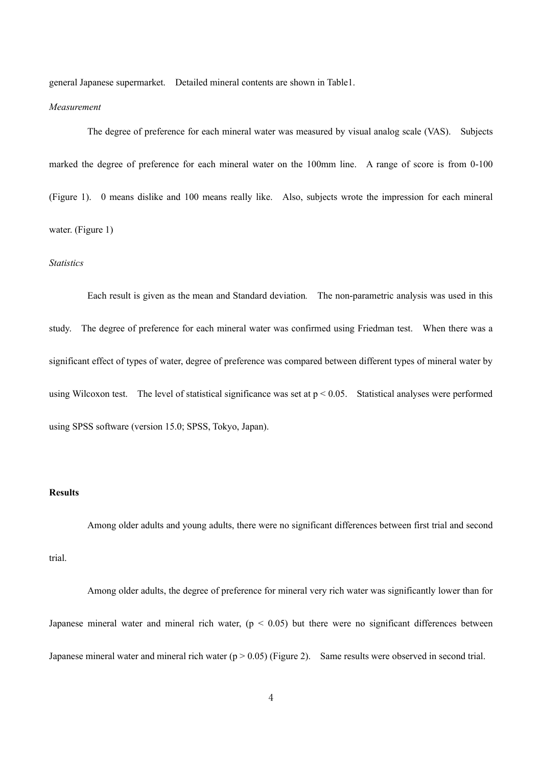general Japanese supermarket. Detailed mineral contents are shown in Table1.

#### *Measurement*

The degree of preference for each mineral water was measured by visual analog scale (VAS). Subjects marked the degree of preference for each mineral water on the 100mm line. A range of score is from 0-100 (Figure 1). 0 means dislike and 100 means really like. Also, subjects wrote the impression for each mineral water. (Figure 1)

#### *Statistics*

Each result is given as the mean and Standard deviation*.* The non-parametric analysis was used in this study. The degree of preference for each mineral water was confirmed using Friedman test. When there was a significant effect of types of water, degree of preference was compared between different types of mineral water by using Wilcoxon test. The level of statistical significance was set at  $p < 0.05$ . Statistical analyses were performed using SPSS software (version 15.0; SPSS, Tokyo, Japan).

#### **Results**

Among older adults and young adults, there were no significant differences between first trial and second trial.

Among older adults, the degree of preference for mineral very rich water was significantly lower than for Japanese mineral water and mineral rich water,  $(p < 0.05)$  but there were no significant differences between Japanese mineral water and mineral rich water ( $p > 0.05$ ) (Figure 2). Same results were observed in second trial.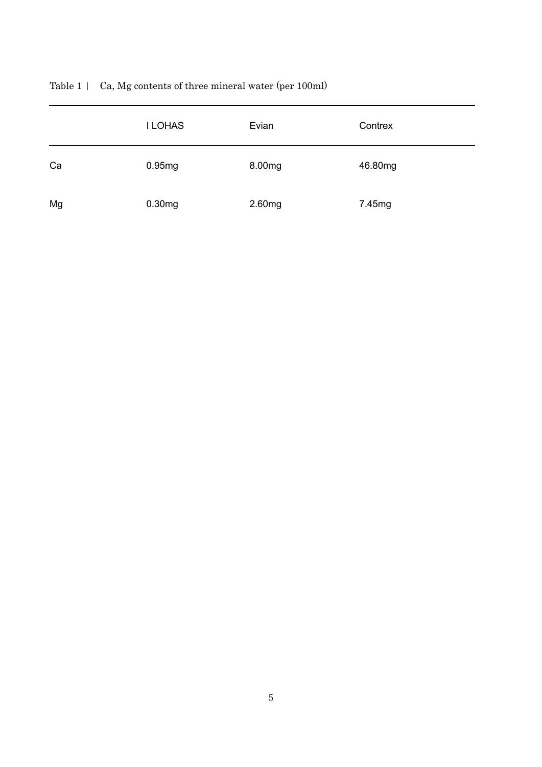|    | <b>I LOHAS</b> | Evian  | Contrex |
|----|----------------|--------|---------|
| Ca | 0.95mg         | 8.00mg | 46.80mg |
| Mg | 0.30mg         | 2.60mg | 7.45mg  |

Table 1 | Ca, Mg contents of three mineral water (per 100ml)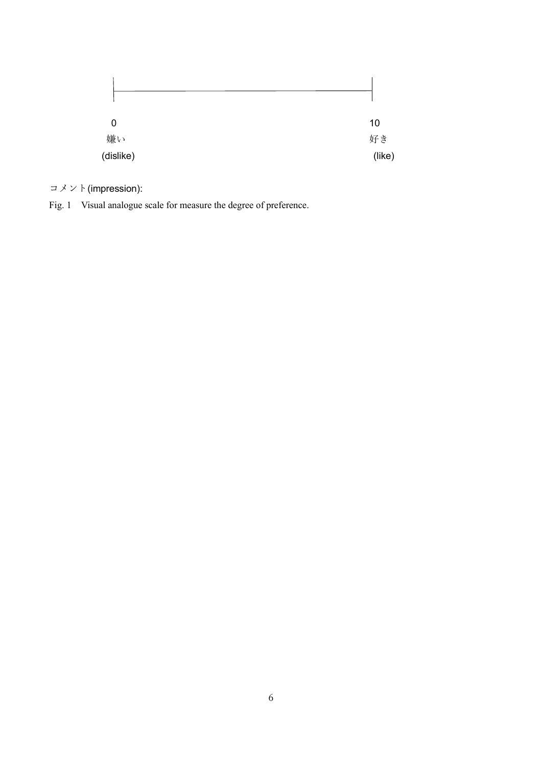| 0         |          |
|-----------|----------|
| 嫌い        | 10<br>好き |
| (dislike) | (like)   |

 $\exists \times \vee \vdash$  (impression):

Fig. 1 Visual analogue scale for measure the degree of preference.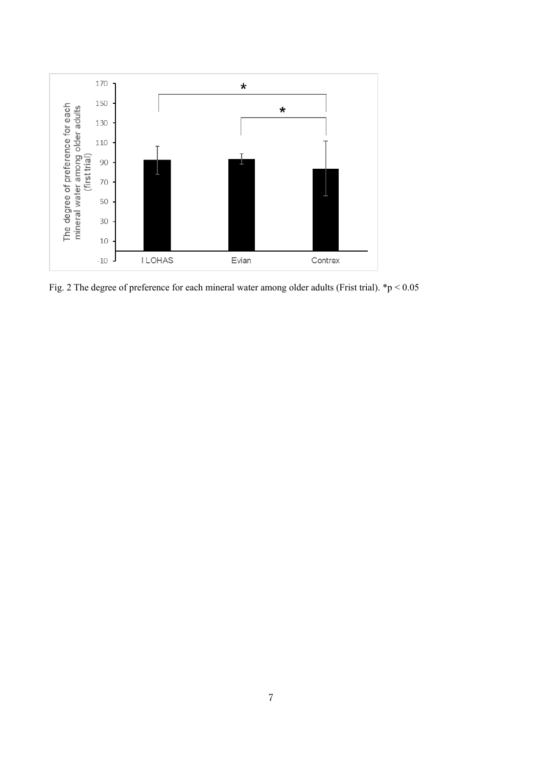

Fig. 2 The degree of preference for each mineral water among older adults (Frist trial). \*p < 0.05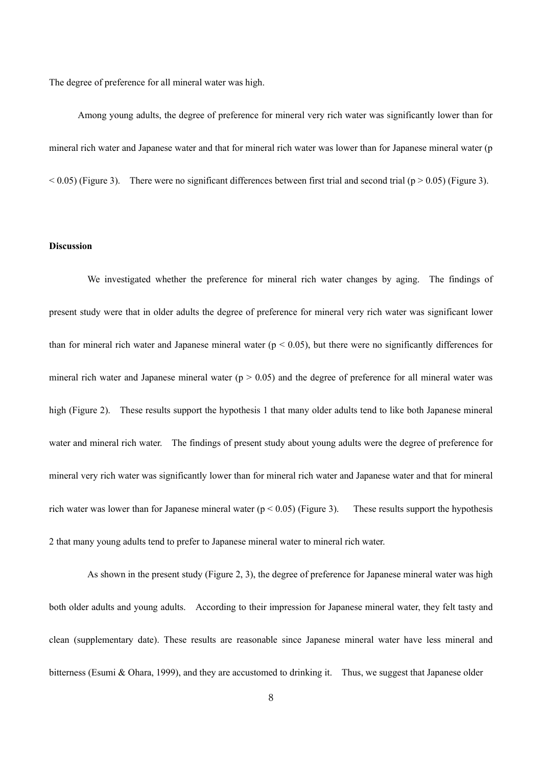The degree of preference for all mineral water was high.

 Among young adults, the degree of preference for mineral very rich water was significantly lower than for mineral rich water and Japanese water and that for mineral rich water was lower than for Japanese mineral water (p  $< 0.05$ ) (Figure 3). There were no significant differences between first trial and second trial (p  $> 0.05$ ) (Figure 3).

# **Discussion**

We investigated whether the preference for mineral rich water changes by aging. The findings of present study were that in older adults the degree of preference for mineral very rich water was significant lower than for mineral rich water and Japanese mineral water ( $p < 0.05$ ), but there were no significantly differences for mineral rich water and Japanese mineral water ( $p > 0.05$ ) and the degree of preference for all mineral water was high (Figure 2). These results support the hypothesis 1 that many older adults tend to like both Japanese mineral water and mineral rich water. The findings of present study about young adults were the degree of preference for mineral very rich water was significantly lower than for mineral rich water and Japanese water and that for mineral rich water was lower than for Japanese mineral water ( $p < 0.05$ ) (Figure 3). These results support the hypothesis 2 that many young adults tend to prefer to Japanese mineral water to mineral rich water.

As shown in the present study (Figure 2, 3), the degree of preference for Japanese mineral water was high both older adults and young adults. According to their impression for Japanese mineral water, they felt tasty and clean (supplementary date). These results are reasonable since Japanese mineral water have less mineral and bitterness (Esumi & Ohara, 1999), and they are accustomed to drinking it. Thus, we suggest that Japanese older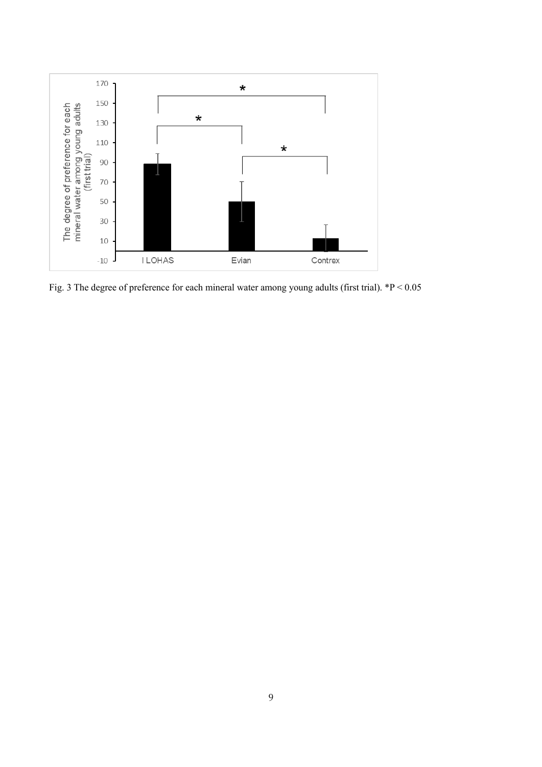

Fig. 3 The degree of preference for each mineral water among young adults (first trial). \*P < 0.05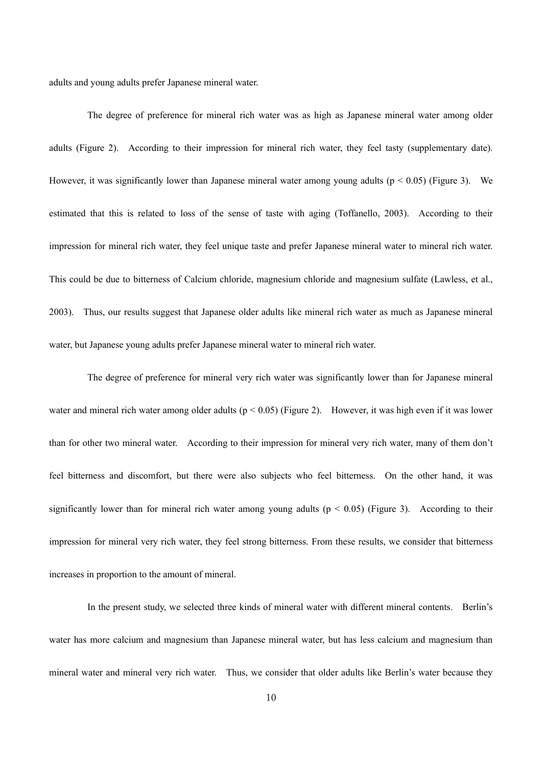adults and young adults prefer Japanese mineral water.

The degree of preference for mineral rich water was as high as Japanese mineral water among older adults (Figure 2). According to their impression for mineral rich water, they feel tasty (supplementary date). However, it was significantly lower than Japanese mineral water among young adults ( $p < 0.05$ ) (Figure 3). We estimated that this is related to loss of the sense of taste with aging (Toffanello, 2003). According to their impression for mineral rich water, they feel unique taste and prefer Japanese mineral water to mineral rich water. This could be due to bitterness of Calcium chloride, magnesium chloride and magnesium sulfate (Lawless, et al., 2003). Thus, our results suggest that Japanese older adults like mineral rich water as much as Japanese mineral water, but Japanese young adults prefer Japanese mineral water to mineral rich water.

The degree of preference for mineral very rich water was significantly lower than for Japanese mineral water and mineral rich water among older adults ( $p < 0.05$ ) (Figure 2). However, it was high even if it was lower than for other two mineral water. According to their impression for mineral very rich water, many of them don't feel bitterness and discomfort, but there were also subjects who feel bitterness. On the other hand, it was significantly lower than for mineral rich water among young adults ( $p < 0.05$ ) (Figure 3). According to their impression for mineral very rich water, they feel strong bitterness. From these results, we consider that bitterness increases in proportion to the amount of mineral.

In the present study, we selected three kinds of mineral water with different mineral contents. Berlin's water has more calcium and magnesium than Japanese mineral water, but has less calcium and magnesium than mineral water and mineral very rich water. Thus, we consider that older adults like Berlin's water because they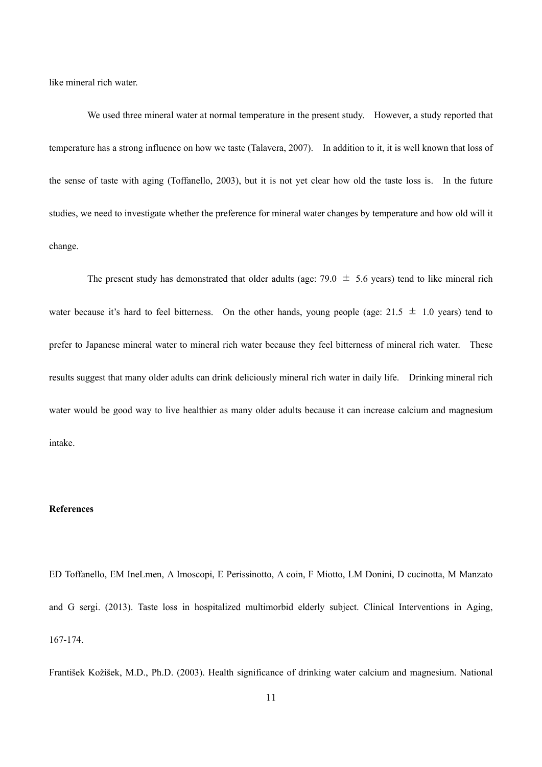like mineral rich water.

We used three mineral water at normal temperature in the present study. However, a study reported that temperature has a strong influence on how we taste (Talavera, 2007). In addition to it, it is well known that loss of the sense of taste with aging (Toffanello, 2003), but it is not yet clear how old the taste loss is. In the future studies, we need to investigate whether the preference for mineral water changes by temperature and how old will it change.

The present study has demonstrated that older adults (age: 79.0  $\pm$  5.6 years) tend to like mineral rich water because it's hard to feel bitterness. On the other hands, young people (age:  $21.5 \pm 1.0$  years) tend to prefer to Japanese mineral water to mineral rich water because they feel bitterness of mineral rich water. These results suggest that many older adults can drink deliciously mineral rich water in daily life. Drinking mineral rich water would be good way to live healthier as many older adults because it can increase calcium and magnesium intake.

# **References**

ED Toffanello, EM IneLmen, A Imoscopi, E Perissinotto, A coin, F Miotto, LM Donini, D cucinotta, M Manzato and G sergi. (2013). Taste loss in hospitalized multimorbid elderly subject. Clinical Interventions in Aging, 167-174.

František Kožíšek, M.D., Ph.D. (2003). Health significance of drinking water calcium and magnesium. National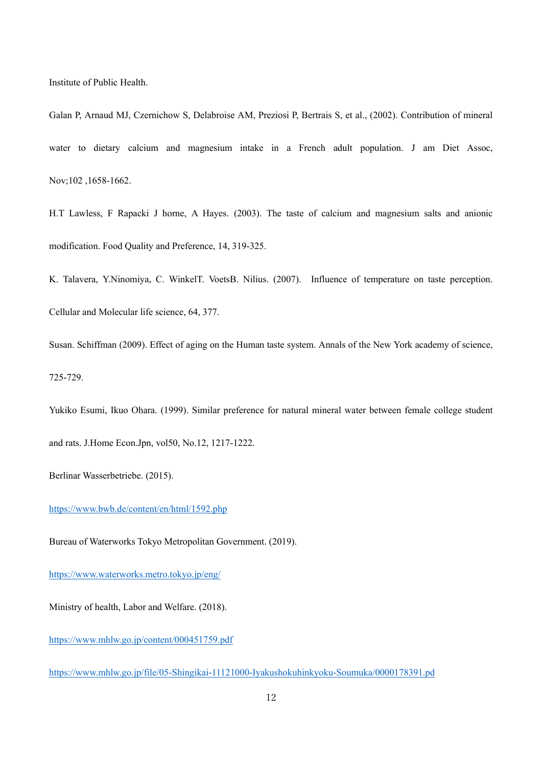Institute of Public Health.

Galan P, Arnaud MJ, Czernichow S, Delabroise AM, Preziosi P, Bertrais S, et al., (2002). Contribution of mineral water to dietary calcium and magnesium intake in a French adult population. J am Diet Assoc, Nov;102 ,1658-1662.

H.T Lawless, F Rapacki J horne, A Hayes. (2003). The taste of calcium and magnesium salts and anionic modification. Food Quality and Preference, 14, 319-325.

K. Talavera, Y.Ninomiya, C. WinkelT. VoetsB. Nilius. (2007). Influence of temperature on taste perception. Cellular and Molecular life science, 64, 377.

Susan. Schiffman (2009). Effect of aging on the Human taste system. Annals of the New York academy of science, 725-729.

Yukiko Esumi, Ikuo Ohara. (1999). Similar preference for natural mineral water between female college student and rats. J.Home Econ.Jpn, vol50, No.12, 1217-1222.

Berlinar Wasserbetriebe. (2015).

<https://www.bwb.de/content/en/html/1592.php>

Bureau of Waterworks Tokyo Metropolitan Government. (2019).

<https://www.waterworks.metro.tokyo.jp/eng/>

Ministry of health, Labor and Welfare. (2018).

<https://www.mhlw.go.jp/content/000451759.pdf>

<https://www.mhlw.go.jp/file/05-Shingikai-11121000-Iyakushokuhinkyoku-Soumuka/0000178391.pd>